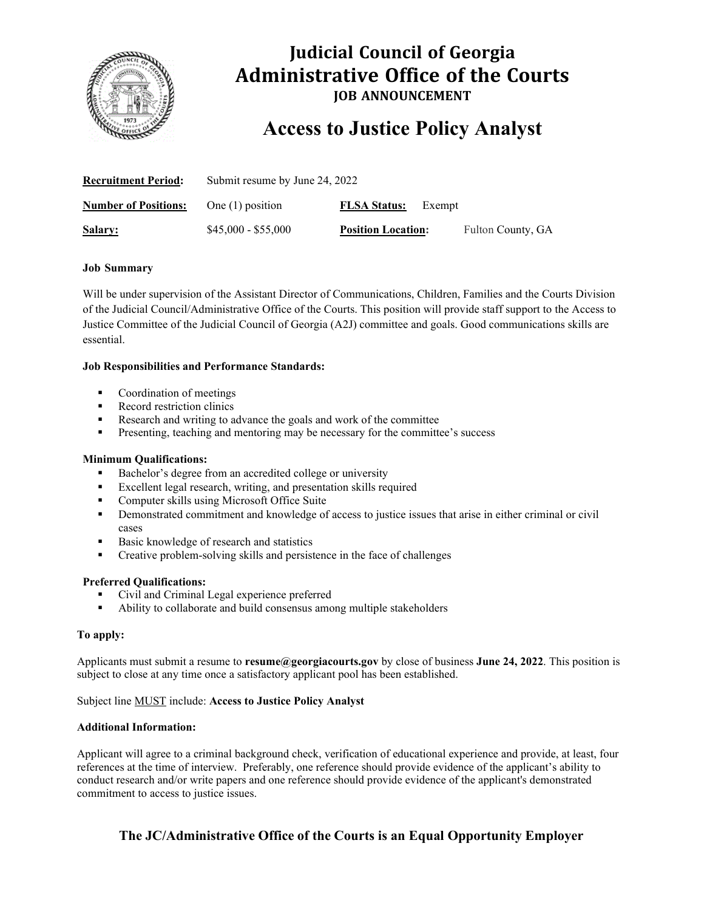

## **Judicial Council of Georgia Administrative Office of the Courts JOB ANNOUNCEMENT**

# **Access to Justice Policy Analyst**

| <b>Recruitment Period:</b>  | Submit resume by June 24, 2022 |                               |                   |
|-----------------------------|--------------------------------|-------------------------------|-------------------|
| <b>Number of Positions:</b> | One $(1)$ position             | <b>FLSA Status:</b><br>Exempt |                   |
| Salary:                     | $$45,000 - $55,000$            | <b>Position Location:</b>     | Fulton County, GA |

#### **Job Summary**

Will be under supervision of the Assistant Director of Communications, Children, Families and the Courts Division of the Judicial Council/Administrative Office of the Courts. This position will provide staff support to the Access to Justice Committee of the Judicial Council of Georgia (A2J) committee and goals. Good communications skills are essential.

#### **Job Responsibilities and Performance Standards:**

- Coordination of meetings
- **Record restriction clinics**
- Research and writing to advance the goals and work of the committee
- **Presenting, teaching and mentoring may be necessary for the committee's success**

#### **Minimum Qualifications:**

- Bachelor's degree from an accredited college or university
- Excellent legal research, writing, and presentation skills required
- Computer skills using Microsoft Office Suite
- Demonstrated commitment and knowledge of access to justice issues that arise in either criminal or civil cases
- Basic knowledge of research and statistics
- Creative problem-solving skills and persistence in the face of challenges

#### **Preferred Qualifications:**

- Civil and Criminal Legal experience preferred
- Ability to collaborate and build consensus among multiple stakeholders

#### **To apply:**

Applicants must submit a resume to **resume@georgiacourts.gov** by close of business **June 24, 2022**. This position is subject to close at any time once a satisfactory applicant pool has been established.

Subject line MUST include: **Access to Justice Policy Analyst**

#### **Additional Information:**

Applicant will agree to a criminal background check, verification of educational experience and provide, at least, four references at the time of interview. Preferably, one reference should provide evidence of the applicant's ability to conduct research and/or write papers and one reference should provide evidence of the applicant's demonstrated commitment to access to justice issues.

### **The JC/Administrative Office of the Courts is an Equal Opportunity Employer**